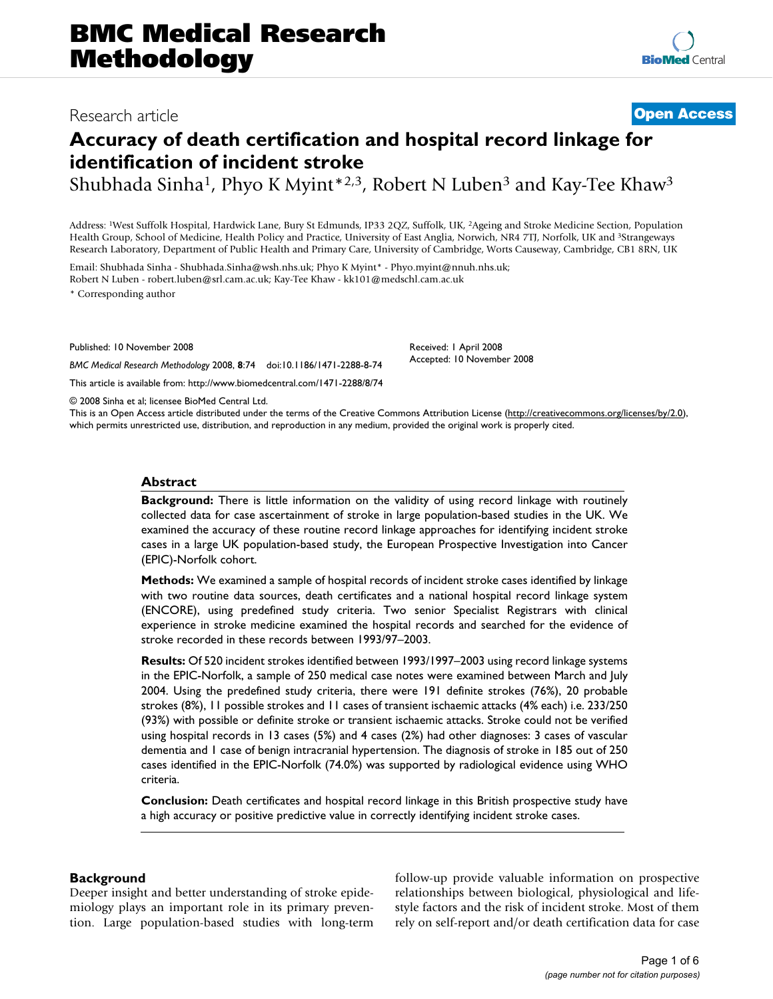# Research article **[Open Access](http://www.biomedcentral.com/info/about/charter/)**

# **Accuracy of death certification and hospital record linkage for identification of incident stroke**

Shubhada Sinha<sup>1</sup>, Phyo K Myint<sup>\*2,3</sup>, Robert N Luben<sup>3</sup> and Kay-Tee Khaw<sup>3</sup>

Address: 1West Suffolk Hospital, Hardwick Lane, Bury St Edmunds, IP33 2QZ, Suffolk, UK, 2Ageing and Stroke Medicine Section, Population Health Group, School of Medicine, Health Policy and Practice, University of East Anglia, Norwich, NR4 7TJ, Norfolk, UK and 3Strangeways Research Laboratory, Department of Public Health and Primary Care, University of Cambridge, Worts Causeway, Cambridge, CB1 8RN, UK

Email: Shubhada Sinha - Shubhada.Sinha@wsh.nhs.uk; Phyo K Myint\* - Phyo.myint@nnuh.nhs.uk; Robert N Luben - robert.luben@srl.cam.ac.uk; Kay-Tee Khaw - kk101@medschl.cam.ac.uk

\* Corresponding author

Published: 10 November 2008

*BMC Medical Research Methodology* 2008, **8**:74 doi:10.1186/1471-2288-8-74 [This article is available from: http://www.biomedcentral.com/1471-2288/8/74](http://www.biomedcentral.com/1471-2288/8/74) Received: 1 April 2008 Accepted: 10 November 2008

© 2008 Sinha et al; licensee BioMed Central Ltd.

This is an Open Access article distributed under the terms of the Creative Commons Attribution License [\(http://creativecommons.org/licenses/by/2.0\)](http://creativecommons.org/licenses/by/2.0), which permits unrestricted use, distribution, and reproduction in any medium, provided the original work is properly cited.

#### **Abstract**

**Background:** There is little information on the validity of using record linkage with routinely collected data for case ascertainment of stroke in large population-based studies in the UK. We examined the accuracy of these routine record linkage approaches for identifying incident stroke cases in a large UK population-based study, the European Prospective Investigation into Cancer (EPIC)-Norfolk cohort.

**Methods:** We examined a sample of hospital records of incident stroke cases identified by linkage with two routine data sources, death certificates and a national hospital record linkage system (ENCORE), using predefined study criteria. Two senior Specialist Registrars with clinical experience in stroke medicine examined the hospital records and searched for the evidence of stroke recorded in these records between 1993/97–2003.

**Results:** Of 520 incident strokes identified between 1993/1997–2003 using record linkage systems in the EPIC-Norfolk, a sample of 250 medical case notes were examined between March and July 2004. Using the predefined study criteria, there were 191 definite strokes (76%), 20 probable strokes (8%), 11 possible strokes and 11 cases of transient ischaemic attacks (4% each) i.e. 233/250 (93%) with possible or definite stroke or transient ischaemic attacks. Stroke could not be verified using hospital records in 13 cases (5%) and 4 cases (2%) had other diagnoses: 3 cases of vascular dementia and 1 case of benign intracranial hypertension. The diagnosis of stroke in 185 out of 250 cases identified in the EPIC-Norfolk (74.0%) was supported by radiological evidence using WHO criteria.

**Conclusion:** Death certificates and hospital record linkage in this British prospective study have a high accuracy or positive predictive value in correctly identifying incident stroke cases.

#### **Background**

Deeper insight and better understanding of stroke epidemiology plays an important role in its primary prevention. Large population-based studies with long-term follow-up provide valuable information on prospective relationships between biological, physiological and lifestyle factors and the risk of incident stroke. Most of them rely on self-report and/or death certification data for case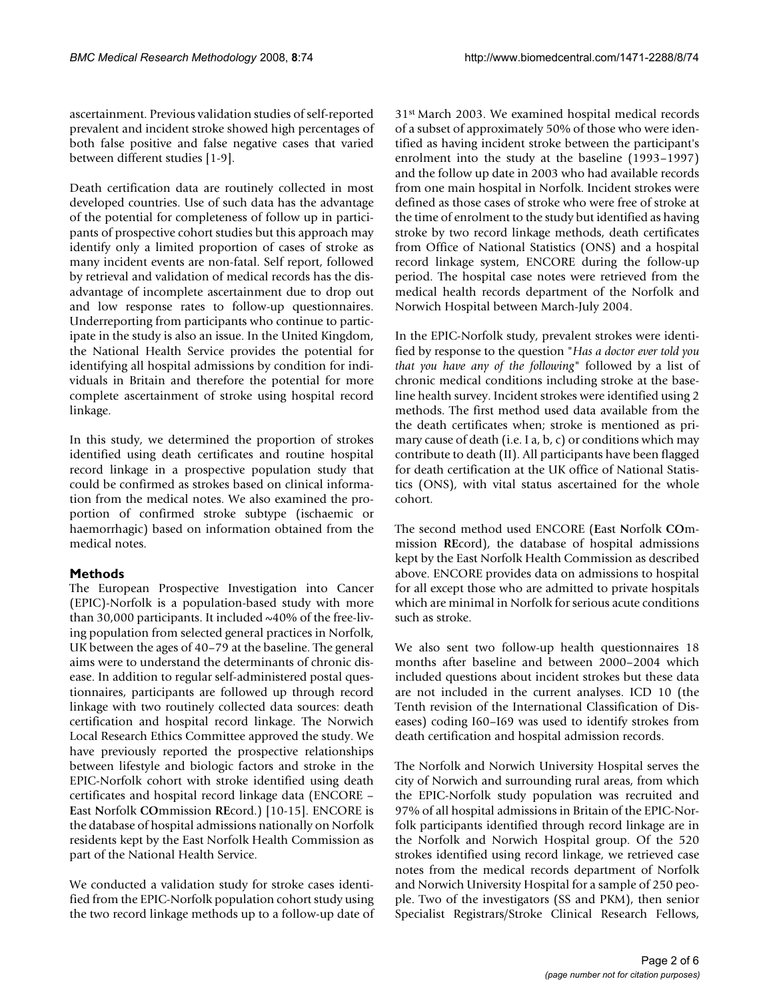ascertainment. Previous validation studies of self-reported prevalent and incident stroke showed high percentages of both false positive and false negative cases that varied between different studies [1-9].

Death certification data are routinely collected in most developed countries. Use of such data has the advantage of the potential for completeness of follow up in participants of prospective cohort studies but this approach may identify only a limited proportion of cases of stroke as many incident events are non-fatal. Self report, followed by retrieval and validation of medical records has the disadvantage of incomplete ascertainment due to drop out and low response rates to follow-up questionnaires. Underreporting from participants who continue to participate in the study is also an issue. In the United Kingdom, the National Health Service provides the potential for identifying all hospital admissions by condition for individuals in Britain and therefore the potential for more complete ascertainment of stroke using hospital record linkage.

In this study, we determined the proportion of strokes identified using death certificates and routine hospital record linkage in a prospective population study that could be confirmed as strokes based on clinical information from the medical notes. We also examined the proportion of confirmed stroke subtype (ischaemic or haemorrhagic) based on information obtained from the medical notes.

# **Methods**

The European Prospective Investigation into Cancer (EPIC)-Norfolk is a population-based study with more than 30,000 participants. It included  $\sim$ 40% of the free-living population from selected general practices in Norfolk, UK between the ages of 40–79 at the baseline. The general aims were to understand the determinants of chronic disease. In addition to regular self-administered postal questionnaires, participants are followed up through record linkage with two routinely collected data sources: death certification and hospital record linkage. The Norwich Local Research Ethics Committee approved the study. We have previously reported the prospective relationships between lifestyle and biologic factors and stroke in the EPIC-Norfolk cohort with stroke identified using death certificates and hospital record linkage data (ENCORE – **E**ast **N**orfolk **CO**mmission **RE**cord.) [10-15]. ENCORE is the database of hospital admissions nationally on Norfolk residents kept by the East Norfolk Health Commission as part of the National Health Service.

We conducted a validation study for stroke cases identified from the EPIC-Norfolk population cohort study using the two record linkage methods up to a follow-up date of 31st March 2003. We examined hospital medical records of a subset of approximately 50% of those who were identified as having incident stroke between the participant's enrolment into the study at the baseline (1993–1997) and the follow up date in 2003 who had available records from one main hospital in Norfolk. Incident strokes were defined as those cases of stroke who were free of stroke at the time of enrolment to the study but identified as having stroke by two record linkage methods, death certificates from Office of National Statistics (ONS) and a hospital record linkage system, ENCORE during the follow-up period. The hospital case notes were retrieved from the medical health records department of the Norfolk and Norwich Hospital between March-July 2004.

In the EPIC-Norfolk study, prevalent strokes were identified by response to the question "*Has a doctor ever told you that you have any of the following*" followed by a list of chronic medical conditions including stroke at the baseline health survey. Incident strokes were identified using 2 methods. The first method used data available from the the death certificates when; stroke is mentioned as primary cause of death (i.e. I a, b, c) or conditions which may contribute to death (II). All participants have been flagged for death certification at the UK office of National Statistics (ONS), with vital status ascertained for the whole cohort.

The second method used ENCORE (**E**ast **N**orfolk **CO**mmission **RE**cord), the database of hospital admissions kept by the East Norfolk Health Commission as described above. ENCORE provides data on admissions to hospital for all except those who are admitted to private hospitals which are minimal in Norfolk for serious acute conditions such as stroke.

We also sent two follow-up health questionnaires 18 months after baseline and between 2000–2004 which included questions about incident strokes but these data are not included in the current analyses. ICD 10 (the Tenth revision of the International Classification of Diseases) coding I60–I69 was used to identify strokes from death certification and hospital admission records.

The Norfolk and Norwich University Hospital serves the city of Norwich and surrounding rural areas, from which the EPIC-Norfolk study population was recruited and 97% of all hospital admissions in Britain of the EPIC-Norfolk participants identified through record linkage are in the Norfolk and Norwich Hospital group. Of the 520 strokes identified using record linkage, we retrieved case notes from the medical records department of Norfolk and Norwich University Hospital for a sample of 250 people. Two of the investigators (SS and PKM), then senior Specialist Registrars/Stroke Clinical Research Fellows,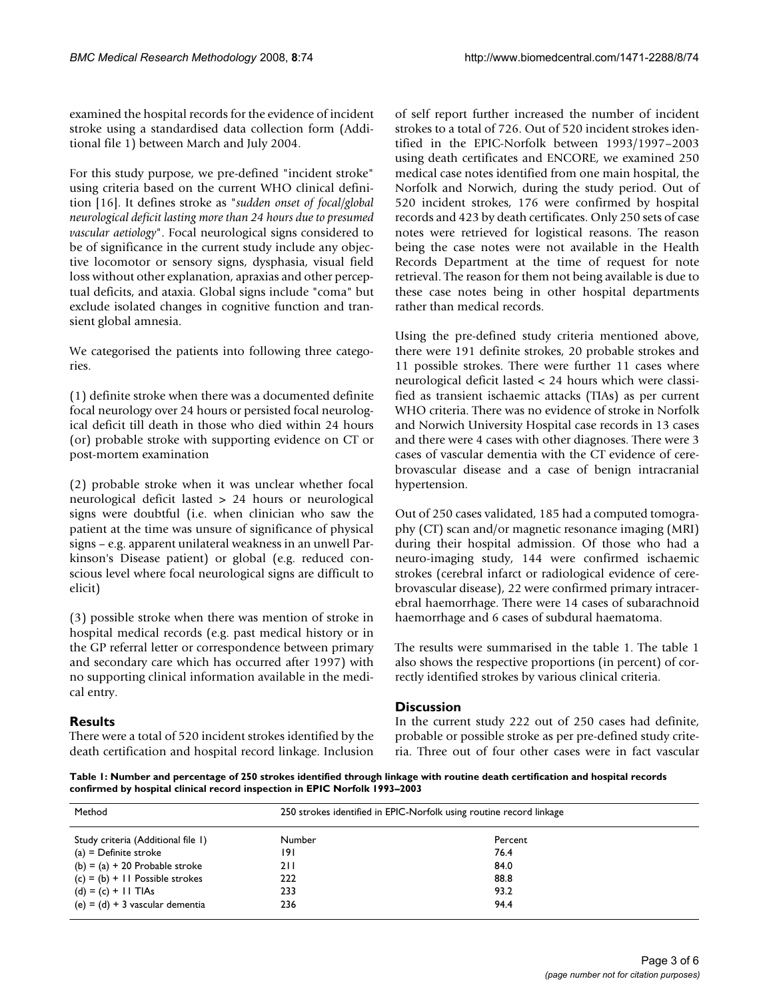examined the hospital records for the evidence of incident stroke using a standardised data collection form (Additional file 1) between March and July 2004.

For this study purpose, we pre-defined "incident stroke" using criteria based on the current WHO clinical definition [16]. It defines stroke as "*sudden onset of focal/global neurological deficit lasting more than 24 hours due to presumed vascular aetiology*". Focal neurological signs considered to be of significance in the current study include any objective locomotor or sensory signs, dysphasia, visual field loss without other explanation, apraxias and other perceptual deficits, and ataxia. Global signs include "coma" but exclude isolated changes in cognitive function and transient global amnesia.

We categorised the patients into following three categories.

(1) definite stroke when there was a documented definite focal neurology over 24 hours or persisted focal neurological deficit till death in those who died within 24 hours (or) probable stroke with supporting evidence on CT or post-mortem examination

(2) probable stroke when it was unclear whether focal neurological deficit lasted > 24 hours or neurological signs were doubtful (i.e. when clinician who saw the patient at the time was unsure of significance of physical signs – e.g. apparent unilateral weakness in an unwell Parkinson's Disease patient) or global (e.g. reduced conscious level where focal neurological signs are difficult to elicit)

(3) possible stroke when there was mention of stroke in hospital medical records (e.g. past medical history or in the GP referral letter or correspondence between primary and secondary care which has occurred after 1997) with no supporting clinical information available in the medical entry.

# **Results**

There were a total of 520 incident strokes identified by the death certification and hospital record linkage. Inclusion of self report further increased the number of incident strokes to a total of 726. Out of 520 incident strokes identified in the EPIC-Norfolk between 1993/1997–2003 using death certificates and ENCORE, we examined 250 medical case notes identified from one main hospital, the Norfolk and Norwich, during the study period. Out of 520 incident strokes, 176 were confirmed by hospital records and 423 by death certificates. Only 250 sets of case notes were retrieved for logistical reasons. The reason being the case notes were not available in the Health Records Department at the time of request for note retrieval. The reason for them not being available is due to these case notes being in other hospital departments rather than medical records.

Using the pre-defined study criteria mentioned above, there were 191 definite strokes, 20 probable strokes and 11 possible strokes. There were further 11 cases where neurological deficit lasted < 24 hours which were classified as transient ischaemic attacks (TIAs) as per current WHO criteria. There was no evidence of stroke in Norfolk and Norwich University Hospital case records in 13 cases and there were 4 cases with other diagnoses. There were 3 cases of vascular dementia with the CT evidence of cerebrovascular disease and a case of benign intracranial hypertension.

Out of 250 cases validated, 185 had a computed tomography (CT) scan and/or magnetic resonance imaging (MRI) during their hospital admission. Of those who had a neuro-imaging study, 144 were confirmed ischaemic strokes (cerebral infarct or radiological evidence of cerebrovascular disease), 22 were confirmed primary intracerebral haemorrhage. There were 14 cases of subarachnoid haemorrhage and 6 cases of subdural haematoma.

The results were summarised in the table 1. The table 1 also shows the respective proportions (in percent) of correctly identified strokes by various clinical criteria.

# **Discussion**

In the current study 222 out of 250 cases had definite, probable or possible stroke as per pre-defined study criteria. Three out of four other cases were in fact vascular

**Table 1: Number and percentage of 250 strokes identified through linkage with routine death certification and hospital records confirmed by hospital clinical record inspection in EPIC Norfolk 1993–2003**

| Method                             | 250 strokes identified in EPIC-Norfolk using routine record linkage |         |  |
|------------------------------------|---------------------------------------------------------------------|---------|--|
| Study criteria (Additional file 1) | Number                                                              | Percent |  |
| $(a)$ = Definite stroke            | 191                                                                 | 76.4    |  |
| $(b) = (a) + 20$ Probable stroke   | 211                                                                 | 84.0    |  |
| $(c) = (b) + 11$ Possible strokes  | 222                                                                 | 88.8    |  |
| $(d) = (c) +  I $ TIAs             | 233                                                                 | 93.2    |  |
| $(e) = (d) + 3$ vascular dementia  | 236                                                                 | 94.4    |  |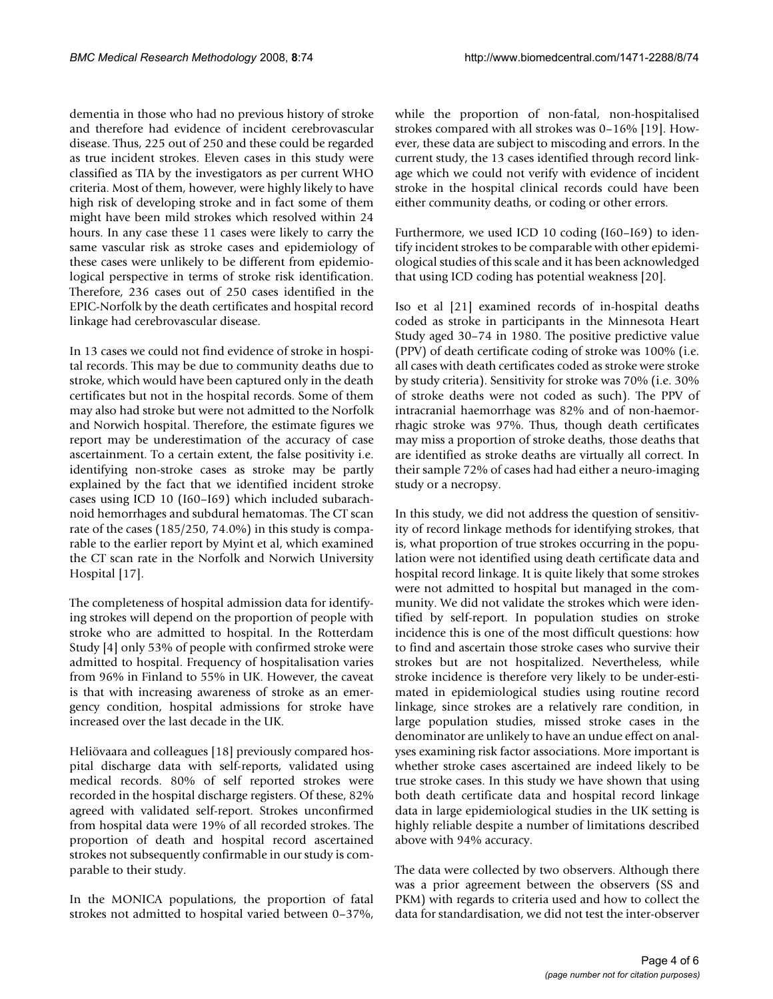dementia in those who had no previous history of stroke and therefore had evidence of incident cerebrovascular disease. Thus, 225 out of 250 and these could be regarded as true incident strokes. Eleven cases in this study were classified as TIA by the investigators as per current WHO criteria. Most of them, however, were highly likely to have high risk of developing stroke and in fact some of them might have been mild strokes which resolved within 24 hours. In any case these 11 cases were likely to carry the same vascular risk as stroke cases and epidemiology of these cases were unlikely to be different from epidemiological perspective in terms of stroke risk identification. Therefore, 236 cases out of 250 cases identified in the EPIC-Norfolk by the death certificates and hospital record linkage had cerebrovascular disease.

In 13 cases we could not find evidence of stroke in hospital records. This may be due to community deaths due to stroke, which would have been captured only in the death certificates but not in the hospital records. Some of them may also had stroke but were not admitted to the Norfolk and Norwich hospital. Therefore, the estimate figures we report may be underestimation of the accuracy of case ascertainment. To a certain extent, the false positivity i.e. identifying non-stroke cases as stroke may be partly explained by the fact that we identified incident stroke cases using ICD 10 (I60–I69) which included subarachnoid hemorrhages and subdural hematomas. The CT scan rate of the cases (185/250, 74.0%) in this study is comparable to the earlier report by Myint et al, which examined the CT scan rate in the Norfolk and Norwich University Hospital [17].

The completeness of hospital admission data for identifying strokes will depend on the proportion of people with stroke who are admitted to hospital. In the Rotterdam Study [4] only 53% of people with confirmed stroke were admitted to hospital. Frequency of hospitalisation varies from 96% in Finland to 55% in UK. However, the caveat is that with increasing awareness of stroke as an emergency condition, hospital admissions for stroke have increased over the last decade in the UK.

Heliövaara and colleagues [18] previously compared hospital discharge data with self-reports, validated using medical records. 80% of self reported strokes were recorded in the hospital discharge registers. Of these, 82% agreed with validated self-report. Strokes unconfirmed from hospital data were 19% of all recorded strokes. The proportion of death and hospital record ascertained strokes not subsequently confirmable in our study is comparable to their study.

In the MONICA populations, the proportion of fatal strokes not admitted to hospital varied between 0–37%,

while the proportion of non-fatal, non-hospitalised strokes compared with all strokes was 0–16% [19]. However, these data are subject to miscoding and errors. In the current study, the 13 cases identified through record linkage which we could not verify with evidence of incident stroke in the hospital clinical records could have been either community deaths, or coding or other errors.

Furthermore, we used ICD 10 coding (I60–I69) to identify incident strokes to be comparable with other epidemiological studies of this scale and it has been acknowledged that using ICD coding has potential weakness [20].

Iso et al [21] examined records of in-hospital deaths coded as stroke in participants in the Minnesota Heart Study aged 30–74 in 1980. The positive predictive value (PPV) of death certificate coding of stroke was 100% (i.e. all cases with death certificates coded as stroke were stroke by study criteria). Sensitivity for stroke was 70% (i.e. 30% of stroke deaths were not coded as such). The PPV of intracranial haemorrhage was 82% and of non-haemorrhagic stroke was 97%. Thus, though death certificates may miss a proportion of stroke deaths, those deaths that are identified as stroke deaths are virtually all correct. In their sample 72% of cases had had either a neuro-imaging study or a necropsy.

In this study, we did not address the question of sensitivity of record linkage methods for identifying strokes, that is, what proportion of true strokes occurring in the population were not identified using death certificate data and hospital record linkage. It is quite likely that some strokes were not admitted to hospital but managed in the community. We did not validate the strokes which were identified by self-report. In population studies on stroke incidence this is one of the most difficult questions: how to find and ascertain those stroke cases who survive their strokes but are not hospitalized. Nevertheless, while stroke incidence is therefore very likely to be under-estimated in epidemiological studies using routine record linkage, since strokes are a relatively rare condition, in large population studies, missed stroke cases in the denominator are unlikely to have an undue effect on analyses examining risk factor associations. More important is whether stroke cases ascertained are indeed likely to be true stroke cases. In this study we have shown that using both death certificate data and hospital record linkage data in large epidemiological studies in the UK setting is highly reliable despite a number of limitations described above with 94% accuracy.

The data were collected by two observers. Although there was a prior agreement between the observers (SS and PKM) with regards to criteria used and how to collect the data for standardisation, we did not test the inter-observer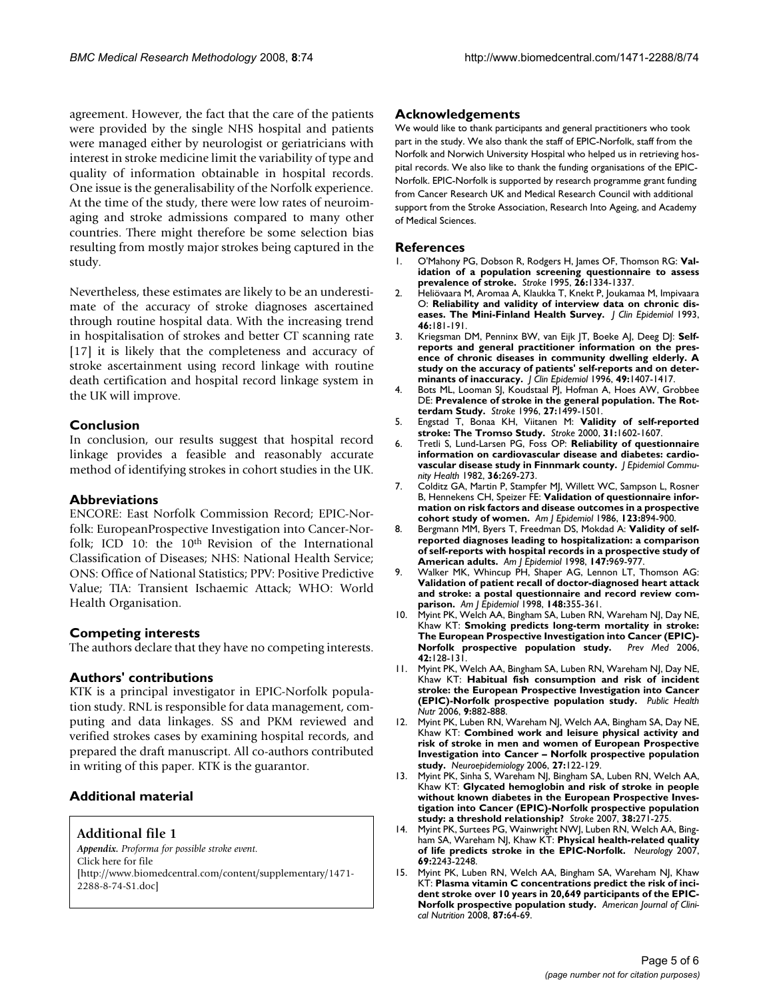agreement. However, the fact that the care of the patients were provided by the single NHS hospital and patients were managed either by neurologist or geriatricians with interest in stroke medicine limit the variability of type and quality of information obtainable in hospital records. One issue is the generalisability of the Norfolk experience. At the time of the study, there were low rates of neuroimaging and stroke admissions compared to many other countries. There might therefore be some selection bias resulting from mostly major strokes being captured in the study.

Nevertheless, these estimates are likely to be an underestimate of the accuracy of stroke diagnoses ascertained through routine hospital data. With the increasing trend in hospitalisation of strokes and better CT scanning rate [17] it is likely that the completeness and accuracy of stroke ascertainment using record linkage with routine death certification and hospital record linkage system in the UK will improve.

#### **Conclusion**

In conclusion, our results suggest that hospital record linkage provides a feasible and reasonably accurate method of identifying strokes in cohort studies in the UK.

#### **Abbreviations**

ENCORE: East Norfolk Commission Record; EPIC-Norfolk: EuropeanProspective Investigation into Cancer-Norfolk; ICD 10: the 10<sup>th</sup> Revision of the International Classification of Diseases; NHS: National Health Service; ONS: Office of National Statistics; PPV: Positive Predictive Value; TIA: Transient Ischaemic Attack; WHO: World Health Organisation.

# **Competing interests**

The authors declare that they have no competing interests.

#### **Authors' contributions**

KTK is a principal investigator in EPIC-Norfolk population study. RNL is responsible for data management, computing and data linkages. SS and PKM reviewed and verified strokes cases by examining hospital records, and prepared the draft manuscript. All co-authors contributed in writing of this paper. KTK is the guarantor.

# **Additional material**

#### **Additional file 1**

*Appendix. Proforma for possible stroke event.* Click here for file [\[http://www.biomedcentral.com/content/supplementary/1471-](http://www.biomedcentral.com/content/supplementary/1471-2288-8-74-S1.doc) 2288-8-74-S1.doc]

#### **Acknowledgements**

We would like to thank participants and general practitioners who took part in the study. We also thank the staff of EPIC-Norfolk, staff from the Norfolk and Norwich University Hospital who helped us in retrieving hospital records. We also like to thank the funding organisations of the EPIC-Norfolk. EPIC-Norfolk is supported by research programme grant funding from Cancer Research UK and Medical Research Council with additional support from the Stroke Association, Research Into Ageing, and Academy of Medical Sciences.

#### **References**

- 1. O'Mahony PG, Dobson R, Rodgers H, James OF, Thomson RG: **[Val](http://www.ncbi.nlm.nih.gov/entrez/query.fcgi?cmd=Retrieve&db=PubMed&dopt=Abstract&list_uids=7631332)[idation of a population screening questionnaire to assess](http://www.ncbi.nlm.nih.gov/entrez/query.fcgi?cmd=Retrieve&db=PubMed&dopt=Abstract&list_uids=7631332) [prevalence of stroke.](http://www.ncbi.nlm.nih.gov/entrez/query.fcgi?cmd=Retrieve&db=PubMed&dopt=Abstract&list_uids=7631332)** *Stroke* 1995, **26:**1334-1337.
- 2. Heliövaara M, Aromaa A, Klaukka T, Knekt P, Joukamaa M, Impivaara O: **[Reliability and validity of interview data on chronic dis](http://www.ncbi.nlm.nih.gov/entrez/query.fcgi?cmd=Retrieve&db=PubMed&dopt=Abstract&list_uids=8437034)[eases. The Mini-Finland Health Survey.](http://www.ncbi.nlm.nih.gov/entrez/query.fcgi?cmd=Retrieve&db=PubMed&dopt=Abstract&list_uids=8437034)** *J Clin Epidemiol* 1993, **46:**181-191.
- 3. Kriegsman DM, Penninx BW, van Eijk JT, Boeke AJ, Deeg DJ: **[Self](http://www.ncbi.nlm.nih.gov/entrez/query.fcgi?cmd=Retrieve&db=PubMed&dopt=Abstract&list_uids=8970491)[reports and general practitioner information on the pres](http://www.ncbi.nlm.nih.gov/entrez/query.fcgi?cmd=Retrieve&db=PubMed&dopt=Abstract&list_uids=8970491)ence of chronic diseases in community dwelling elderly. A study on the accuracy of patients' self-reports and on deter[minants of inaccuracy.](http://www.ncbi.nlm.nih.gov/entrez/query.fcgi?cmd=Retrieve&db=PubMed&dopt=Abstract&list_uids=8970491)** *J Clin Epidemiol* 1996, **49:**1407-1417.
- 4. Bots ML, Looman SJ, Koudstaal PJ, Hofman A, Hoes AW, Grobbee DE: **[Prevalence of stroke in the general population. The Rot](http://www.ncbi.nlm.nih.gov/entrez/query.fcgi?cmd=Retrieve&db=PubMed&dopt=Abstract&list_uids=8784119)[terdam Study.](http://www.ncbi.nlm.nih.gov/entrez/query.fcgi?cmd=Retrieve&db=PubMed&dopt=Abstract&list_uids=8784119)** *Stroke* 1996, **27:**1499-1501.
- 5. Engstad T, Bonaa KH, Viitanen M: **[Validity of self-reported](http://www.ncbi.nlm.nih.gov/entrez/query.fcgi?cmd=Retrieve&db=PubMed&dopt=Abstract&list_uids=10884460) [stroke: The Tromso Study.](http://www.ncbi.nlm.nih.gov/entrez/query.fcgi?cmd=Retrieve&db=PubMed&dopt=Abstract&list_uids=10884460)** *Stroke* 2000, **31:**1602-1607.
- 6. Tretli S, Lund-Larsen PG, Foss OP: **[Reliability of questionnaire](http://www.ncbi.nlm.nih.gov/entrez/query.fcgi?cmd=Retrieve&db=PubMed&dopt=Abstract&list_uids=7166682) [information on cardiovascular disease and diabetes: cardio](http://www.ncbi.nlm.nih.gov/entrez/query.fcgi?cmd=Retrieve&db=PubMed&dopt=Abstract&list_uids=7166682)[vascular disease study in Finnmark county.](http://www.ncbi.nlm.nih.gov/entrez/query.fcgi?cmd=Retrieve&db=PubMed&dopt=Abstract&list_uids=7166682)** *J Epidemiol Community Health* 1982, **36:**269-273.
- 7. Colditz GA, Martin P, Stampfer MJ, Willett WC, Sampson L, Rosner B, Hennekens CH, Speizer FE: **[Validation of questionnaire infor](http://www.ncbi.nlm.nih.gov/entrez/query.fcgi?cmd=Retrieve&db=PubMed&dopt=Abstract&list_uids=3962971)[mation on risk factors and disease outcomes in a prospective](http://www.ncbi.nlm.nih.gov/entrez/query.fcgi?cmd=Retrieve&db=PubMed&dopt=Abstract&list_uids=3962971) [cohort study of women.](http://www.ncbi.nlm.nih.gov/entrez/query.fcgi?cmd=Retrieve&db=PubMed&dopt=Abstract&list_uids=3962971)** *Am J Epidemiol* 1986, **123:**894-900.
- 8. Bergmann MM, Byers T, Freedman DS, Mokdad A: **[Validity of self](http://www.ncbi.nlm.nih.gov/entrez/query.fcgi?cmd=Retrieve&db=PubMed&dopt=Abstract&list_uids=9596475)[reported diagnoses leading to hospitalization: a comparison](http://www.ncbi.nlm.nih.gov/entrez/query.fcgi?cmd=Retrieve&db=PubMed&dopt=Abstract&list_uids=9596475) of self-reports with hospital records in a prospective study of [American adults.](http://www.ncbi.nlm.nih.gov/entrez/query.fcgi?cmd=Retrieve&db=PubMed&dopt=Abstract&list_uids=9596475)** *Am J Epidemiol* 1998, **147:**969-977.
- 9. Walker MK, Whincup PH, Shaper AG, Lennon LT, Thomson AG: **[Validation of patient recall of doctor-diagnosed heart attack](http://www.ncbi.nlm.nih.gov/entrez/query.fcgi?cmd=Retrieve&db=PubMed&dopt=Abstract&list_uids=9717879) and stroke: a postal questionnaire and record review com[parison.](http://www.ncbi.nlm.nih.gov/entrez/query.fcgi?cmd=Retrieve&db=PubMed&dopt=Abstract&list_uids=9717879)** *Am J Epidemiol* 1998, **148:**355-361.
- 10. Myint PK, Welch AA, Bingham SA, Luben RN, Wareham NJ, Day NE, Khaw KT: **[Smoking predicts long-term mortality in stroke:](http://www.ncbi.nlm.nih.gov/entrez/query.fcgi?cmd=Retrieve&db=PubMed&dopt=Abstract&list_uids=16388841) [The European Prospective Investigation into Cancer \(EPIC\)-](http://www.ncbi.nlm.nih.gov/entrez/query.fcgi?cmd=Retrieve&db=PubMed&dopt=Abstract&list_uids=16388841) [Norfolk prospective population study.](http://www.ncbi.nlm.nih.gov/entrez/query.fcgi?cmd=Retrieve&db=PubMed&dopt=Abstract&list_uids=16388841)** *Prev Med* 2006, **42:**128-131.
- 11. Myint PK, Welch AA, Bingham SA, Luben RN, Wareham NJ, Day NE, Khaw KT: **[Habitual fish consumption and risk of incident](http://www.ncbi.nlm.nih.gov/entrez/query.fcgi?cmd=Retrieve&db=PubMed&dopt=Abstract&list_uids=17010254) [stroke: the European Prospective Investigation into Cancer](http://www.ncbi.nlm.nih.gov/entrez/query.fcgi?cmd=Retrieve&db=PubMed&dopt=Abstract&list_uids=17010254) [\(EPIC\)-Norfolk prospective population study.](http://www.ncbi.nlm.nih.gov/entrez/query.fcgi?cmd=Retrieve&db=PubMed&dopt=Abstract&list_uids=17010254)** *Public Health Nutr* 2006, **9:**882-888.
- 12. Myint PK, Luben RN, Wareham NJ, Welch AA, Bingham SA, Day NE, Khaw KT: **[Combined work and leisure physical activity and](http://www.ncbi.nlm.nih.gov/entrez/query.fcgi?cmd=Retrieve&db=PubMed&dopt=Abstract&list_uids=16946623) [risk of stroke in men and women of European Prospective](http://www.ncbi.nlm.nih.gov/entrez/query.fcgi?cmd=Retrieve&db=PubMed&dopt=Abstract&list_uids=16946623) Investigation into Cancer – Norfolk prospective population [study.](http://www.ncbi.nlm.nih.gov/entrez/query.fcgi?cmd=Retrieve&db=PubMed&dopt=Abstract&list_uids=16946623)** *Neuroepidemiology* 2006, **27:**122-129.
- 13. Myint PK, Sinha S, Wareham NJ, Bingham SA, Luben RN, Welch AA, Khaw KT: **[Glycated hemoglobin and risk of stroke in people](http://www.ncbi.nlm.nih.gov/entrez/query.fcgi?cmd=Retrieve&db=PubMed&dopt=Abstract&list_uids=17204684) [without known diabetes in the European Prospective Inves](http://www.ncbi.nlm.nih.gov/entrez/query.fcgi?cmd=Retrieve&db=PubMed&dopt=Abstract&list_uids=17204684)tigation into Cancer (EPIC)-Norfolk prospective population [study: a threshold relationship?](http://www.ncbi.nlm.nih.gov/entrez/query.fcgi?cmd=Retrieve&db=PubMed&dopt=Abstract&list_uids=17204684)** *Stroke* 2007, **38:**271-275.
- 14. Myint PK, Surtees PG, Wainwright NWJ, Luben RN, Welch AA, Bingham SA, Wareham NJ, Khaw KT: **[Physical health-related quality](http://www.ncbi.nlm.nih.gov/entrez/query.fcgi?cmd=Retrieve&db=PubMed&dopt=Abstract&list_uids=18071144) [of life predicts stroke in the EPIC-Norfolk.](http://www.ncbi.nlm.nih.gov/entrez/query.fcgi?cmd=Retrieve&db=PubMed&dopt=Abstract&list_uids=18071144)** *Neurology* 2007, **69:**2243-2248.
- 15. Myint PK, Luben RN, Welch AA, Bingham SA, Wareham NJ, Khaw KT: **[Plasma vitamin C concentrations predict the risk of inci](http://www.ncbi.nlm.nih.gov/entrez/query.fcgi?cmd=Retrieve&db=PubMed&dopt=Abstract&list_uids=18175738)[dent stroke over 10 years in 20,649 participants of the EPIC-](http://www.ncbi.nlm.nih.gov/entrez/query.fcgi?cmd=Retrieve&db=PubMed&dopt=Abstract&list_uids=18175738)[Norfolk prospective population study.](http://www.ncbi.nlm.nih.gov/entrez/query.fcgi?cmd=Retrieve&db=PubMed&dopt=Abstract&list_uids=18175738)** *American Journal of Clinical Nutrition* 2008, **87:**64-69.